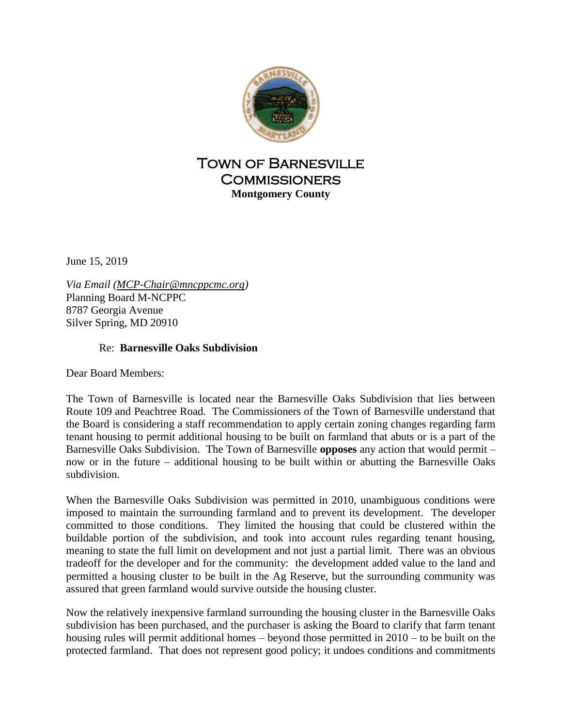

## Town of Barnesville **COMMISSIONERS Montgomery County**

June 15, 2019

*Via Email [\(MCP-Chair@mncppcmc.org\)](mailto:MCP-Chair@mncppcmc.org)* Planning Board M-NCPPC 8787 Georgia Avenue Silver Spring, MD 20910

## Re: **Barnesville Oaks Subdivision**

Dear Board Members:

The Town of Barnesville is located near the Barnesville Oaks Subdivision that lies between Route 109 and Peachtree Road. The Commissioners of the Town of Barnesville understand that the Board is considering a staff recommendation to apply certain zoning changes regarding farm tenant housing to permit additional housing to be built on farmland that abuts or is a part of the Barnesville Oaks Subdivision. The Town of Barnesville **opposes** any action that would permit – now or in the future – additional housing to be built within or abutting the Barnesville Oaks subdivision.

When the Barnesville Oaks Subdivision was permitted in 2010, unambiguous conditions were imposed to maintain the surrounding farmland and to prevent its development. The developer committed to those conditions. They limited the housing that could be clustered within the buildable portion of the subdivision, and took into account rules regarding tenant housing, meaning to state the full limit on development and not just a partial limit. There was an obvious tradeoff for the developer and for the community: the development added value to the land and permitted a housing cluster to be built in the Ag Reserve, but the surrounding community was assured that green farmland would survive outside the housing cluster.

Now the relatively inexpensive farmland surrounding the housing cluster in the Barnesville Oaks subdivision has been purchased, and the purchaser is asking the Board to clarify that farm tenant housing rules will permit additional homes – beyond those permitted in 2010 – to be built on the protected farmland. That does not represent good policy; it undoes conditions and commitments